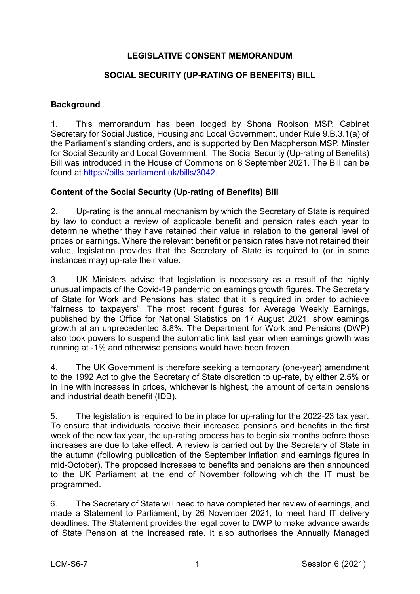# **LEGISLATIVE CONSENT MEMORANDUM**

## **SOCIAL SECURITY (UP-RATING OF BENEFITS) BILL**

## **Background**

1. This memorandum has been lodged by Shona Robison MSP, Cabinet Secretary for Social Justice, Housing and Local Government, under Rule 9.B.3.1(a) of the Parliament's standing orders, and is supported by Ben Macpherson MSP, Minster for Social Security and Local Government. The Social Security (Up-rating of Benefits) Bill was introduced in the House of Commons on 8 September 2021. The Bill can be found at [https://bills.parliament.uk/bills/3042.](https://bills.parliament.uk/bills/3042)

## **Content of the Social Security (Up-rating of Benefits) Bill**

2. Up-rating is the annual mechanism by which the Secretary of State is required by law to conduct a review of applicable benefit and pension rates each year to determine whether they have retained their value in relation to the general level of prices or earnings. Where the relevant benefit or pension rates have not retained their value, legislation provides that the Secretary of State is required to (or in some instances may) up-rate their value.

3. UK Ministers advise that legislation is necessary as a result of the highly unusual impacts of the Covid-19 pandemic on earnings growth figures. The Secretary of State for Work and Pensions has stated that it is required in order to achieve "fairness to taxpayers". The most recent figures for Average Weekly Earnings, published by the Office for National Statistics on 17 August 2021, show earnings growth at an unprecedented 8.8%. The Department for Work and Pensions (DWP) also took powers to suspend the automatic link last year when earnings growth was running at -1% and otherwise pensions would have been frozen.

4. The UK Government is therefore seeking a temporary (one-year) amendment to the 1992 Act to give the Secretary of State discretion to up-rate, by either 2.5% or in line with increases in prices, whichever is highest, the amount of certain pensions and industrial death benefit (IDB).

5. The legislation is required to be in place for up-rating for the 2022-23 tax year. To ensure that individuals receive their increased pensions and benefits in the first week of the new tax year, the up-rating process has to begin six months before those increases are due to take effect. A review is carried out by the Secretary of State in the autumn (following publication of the September inflation and earnings figures in mid-October). The proposed increases to benefits and pensions are then announced to the UK Parliament at the end of November following which the IT must be programmed.

6. The Secretary of State will need to have completed her review of earnings, and made a Statement to Parliament, by 26 November 2021, to meet hard IT delivery deadlines. The Statement provides the legal cover to DWP to make advance awards of State Pension at the increased rate. It also authorises the Annually Managed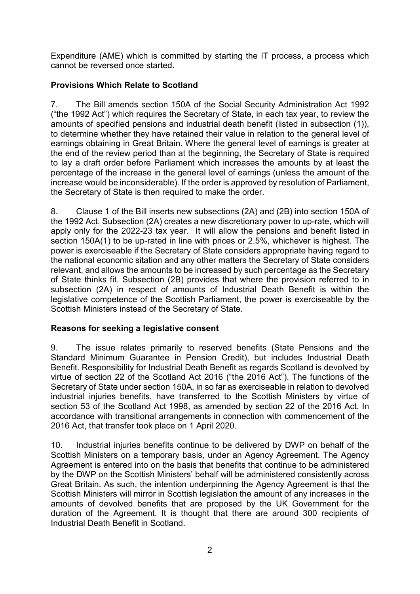Expenditure (AME) which is committed by starting the IT process, a process which cannot be reversed once started.

# **Provisions Which Relate to Scotland**

7. The Bill amends section 150A of the Social Security Administration Act 1992 ("the 1992 Act") which requires the Secretary of State, in each tax year, to review the amounts of specified pensions and industrial death benefit (listed in subsection (1)), to determine whether they have retained their value in relation to the general level of earnings obtaining in Great Britain. Where the general level of earnings is greater at the end of the review period than at the beginning, the Secretary of State is required to lay a draft order before Parliament which increases the amounts by at least the percentage of the increase in the general level of earnings (unless the amount of the increase would be inconsiderable). If the order is approved by resolution of Parliament, the Secretary of State is then required to make the order.

8. Clause 1 of the Bill inserts new subsections (2A) and (2B) into section 150A of the 1992 Act. Subsection (2A) creates a new discretionary power to up-rate, which will apply only for the 2022-23 tax year. It will allow the pensions and benefit listed in section 150A(1) to be up-rated in line with prices or 2.5%, whichever is highest. The power is exerciseable if the Secretary of State considers appropriate having regard to the national economic sitation and any other matters the Secretary of State considers relevant, and allows the amounts to be increased by such percentage as the Secretary of State thinks fit. Subsection (2B) provides that where the provision referred to in subsection (2A) in respect of amounts of Industrial Death Benefit is within the legislative competence of the Scottish Parliament, the power is exerciseable by the Scottish Ministers instead of the Secretary of State.

# **Reasons for seeking a legislative consent**

9. The issue relates primarily to reserved benefits (State Pensions and the Standard Minimum Guarantee in Pension Credit), but includes Industrial Death Benefit. Responsibility for Industrial Death Benefit as regards Scotland is devolved by virtue of section 22 of the Scotland Act 2016 ("the 2016 Act"). The functions of the Secretary of State under section 150A, in so far as exerciseable in relation to devolved industrial injuries benefits, have transferred to the Scottish Ministers by virtue of section 53 of the Scotland Act 1998, as amended by section 22 of the 2016 Act. In accordance with transitional arrangements in connection with commencement of the 2016 Act, that transfer took place on 1 April 2020.

10. Industrial injuries benefits continue to be delivered by DWP on behalf of the Scottish Ministers on a temporary basis, under an Agency Agreement. The Agency Agreement is entered into on the basis that benefits that continue to be administered by the DWP on the Scottish Ministers' behalf will be administered consistently across Great Britain. As such, the intention underpinning the Agency Agreement is that the Scottish Ministers will mirror in Scottish legislation the amount of any increases in the amounts of devolved benefits that are proposed by the UK Government for the duration of the Agreement. It is thought that there are around 300 recipients of Industrial Death Benefit in Scotland.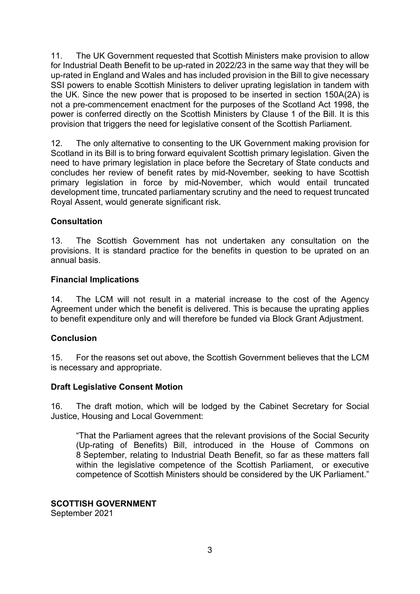11. The UK Government requested that Scottish Ministers make provision to allow for Industrial Death Benefit to be up-rated in 2022/23 in the same way that they will be up-rated in England and Wales and has included provision in the Bill to give necessary SSI powers to enable Scottish Ministers to deliver uprating legislation in tandem with the UK. Since the new power that is proposed to be inserted in section 150A(2A) is not a pre-commencement enactment for the purposes of the Scotland Act 1998, the power is conferred directly on the Scottish Ministers by Clause 1 of the Bill. It is this provision that triggers the need for legislative consent of the Scottish Parliament.

12. The only alternative to consenting to the UK Government making provision for Scotland in its Bill is to bring forward equivalent Scottish primary legislation. Given the need to have primary legislation in place before the Secretary of State conducts and concludes her review of benefit rates by mid-November*,* seeking to have Scottish primary legislation in force by mid-November, which would entail truncated development time, truncated parliamentary scrutiny and the need to request truncated Royal Assent, would generate significant risk.

## **Consultation**

13. The Scottish Government has not undertaken any consultation on the provisions. It is standard practice for the benefits in question to be uprated on an annual basis.

#### **Financial Implications**

14. The LCM will not result in a material increase to the cost of the Agency Agreement under which the benefit is delivered. This is because the uprating applies to benefit expenditure only and will therefore be funded via Block Grant Adjustment.

#### **Conclusion**

15. For the reasons set out above, the Scottish Government believes that the LCM is necessary and appropriate.

#### **Draft Legislative Consent Motion**

16. The draft motion, which will be lodged by the Cabinet Secretary for Social Justice, Housing and Local Government:

"That the Parliament agrees that the relevant provisions of the Social Security (Up-rating of Benefits) Bill, introduced in the House of Commons on 8 September, relating to Industrial Death Benefit, so far as these matters fall within the legislative competence of the Scottish Parliament, or executive competence of Scottish Ministers should be considered by the UK Parliament."

#### **SCOTTISH GOVERNMENT**

September 2021